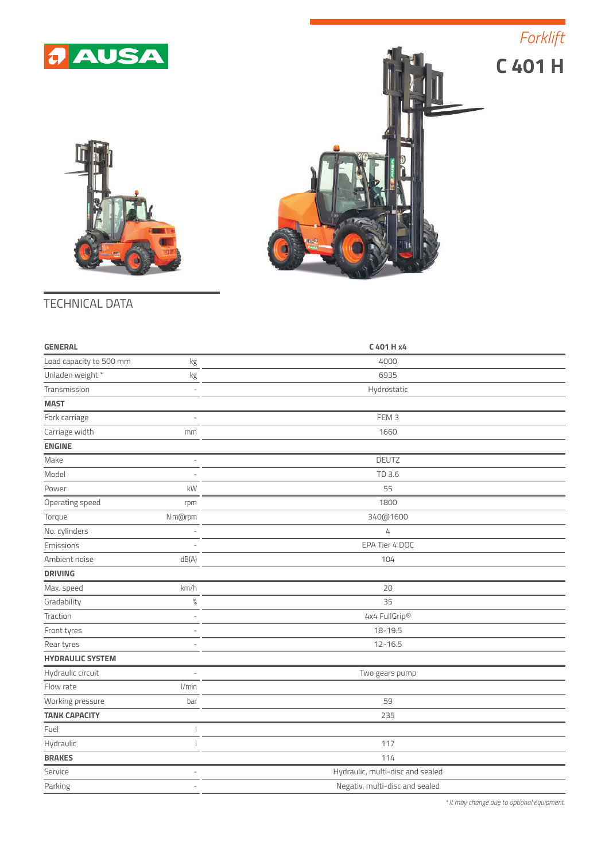

*Forklift*





## TECHNICAL DATA

| <b>GENERAL</b>          |                | C 401 H x4                       |  |
|-------------------------|----------------|----------------------------------|--|
| Load capacity to 500 mm | kg             | 4000                             |  |
| Unladen weight *        | kg             | 6935                             |  |
| Transmission            |                | Hydrostatic                      |  |
| <b>MAST</b>             |                |                                  |  |
| Fork carriage           | L              | FEM <sub>3</sub>                 |  |
| Carriage width          | mm             | 1660                             |  |
| <b>ENGINE</b>           |                |                                  |  |
| Make                    | L,             | DEUTZ                            |  |
| Model                   |                | TD 3.6                           |  |
| Power                   | kW             | 55                               |  |
| Operating speed         | rpm            | 1800                             |  |
| Torque                  | N·m@rpm        | 340@1600                         |  |
| No. cylinders           |                | $\mathcal{L}_{\! +}$             |  |
| Emissions               |                | EPA Tier 4 DOC                   |  |
| Ambient noise           | dB(A)          | 104                              |  |
| <b>DRIVING</b>          |                |                                  |  |
| Max. speed              | km/h           | 20                               |  |
| Gradability             | $\%$           | 35                               |  |
| Traction                |                | 4x4 FullGrip®                    |  |
| Front tyres             | $\overline{a}$ | 18-19.5                          |  |
| Rear tyres              |                | $12 - 16.5$                      |  |
| <b>HYDRAULIC SYSTEM</b> |                |                                  |  |
| Hydraulic circuit       |                | Two gears pump                   |  |
| Flow rate               | I/min          |                                  |  |
| Working pressure        | bar            | 59                               |  |
| <b>TANK CAPACITY</b>    |                | 235                              |  |
| Fuel                    |                |                                  |  |
| Hydraulic               |                | 117                              |  |
| <b>BRAKES</b>           |                | 114                              |  |
| Service                 | L,             | Hydraulic, multi-disc and sealed |  |
| Parking                 | $\overline{a}$ | Negativ, multi-disc and sealed   |  |

*\* It may change due to optional equipment*